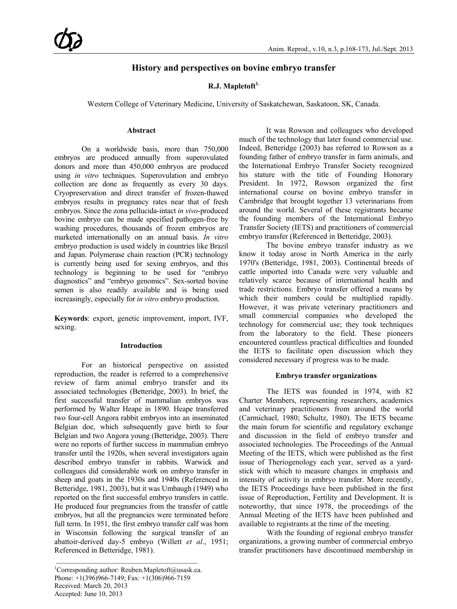# **History and perspectives on bovine embryo transfer**

### **R.J. Mapletoft1.**

Western College of Veterinary Medicine, University of Saskatchewan, Saskatoon, SK, Canada.

#### **Abstract**

On a worldwide basis, more than 750,000 embryos are produced annually from superovulated donors and more than 450,000 embryos are produced using *in vitro* techniques. Superovulation and embryo collection are done as frequently as every 30 days. Cryopreservation and direct transfer of frozen-thawed embryos results in pregnancy rates near that of fresh embryos. Since the zona pellucida-intact *in vivo*-produced bovine embryo can be made specified pathogen-free by washing procedures, thousands of frozen embryos are marketed internationally on an annual basis. *In vitro* embryo production is used widely in countries like Brazil and Japan. Polymerase chain reaction (PCR) technology is currently being used for sexing embryos, and this technology is beginning to be used for "embryo diagnostics" and "embryo genomics". Sex-sorted bovine semen is also readily available and is being used increasingly, especially for *in vitro* embryo production.

**Keywords**: export, genetic improvement, import, IVF, sexing.

#### **Introduction**

For an historical perspective on assisted reproduction, the reader is referred to a comprehensive review of farm animal embryo transfer and its associated technologies (Betteridge, 2003). In brief, the first successful transfer of mammalian embryos was performed by Walter Heape in 1890. Heape transferred two four-cell Angora rabbit embryos into an inseminated Belgian doe, which subsequently gave birth to four Belgian and two Angora young (Betteridge, 2003). There were no reports of further success in mammalian embryo transfer until the 1920s, when several investigators again described embryo transfer in rabbits. Warwick and colleagues did considerable work on embryo transfer in sheep and goats in the 1930s and 1940s (Referenced in Betteridge, 1981, 2003), but it was Umbaugh (1949) who reported on the first successful embryo transfers in cattle. He produced four pregnancies from the transfer of cattle embryos, but all the pregnancies were terminated before full term. In 1951, the first embryo transfer calf was born in Wisconsin following the surgical transfer of an abattoir-derived day-5 embryo (Willett *et al*., 1951; Referenced in Betteridge, 1981).

It was Rowson and colleagues who developed much of the technology that later found commercial use. Indeed, Betteridge (2003) has referred to Rowson as a founding father of embryo transfer in farm animals, and the International Embryo Transfer Society recognized his stature with the title of Founding Honorary President. In 1972, Rowson organized the first international course on bovine embryo transfer in Cambridge that brought together 13 veterinarians from around the world. Several of these registrants became the founding members of the International Embryo Transfer Society (IETS) and practitioners of commercial embryo transfer (Referenced in Betteridge, 2003).

The bovine embryo transfer industry as we know it today arose in North America in the early 1970's (Betteridge, 1981, 2003). Continental breeds of cattle imported into Canada were very valuable and relatively scarce because of international health and trade restrictions. Embryo transfer offered a means by which their numbers could be multiplied rapidly. However, it was private veterinary practitioners and small commercial companies who developed the technology for commercial use; they took techniques from the laboratory to the field. These pioneers encountered countless practical difficulties and founded the IETS to facilitate open discussion which they considered necessary if progress was to be made.

#### **Embryo transfer organizations**

The IETS was founded in 1974, with 82 Charter Members, representing researchers, academics and veterinary practitioners from around the world (Carmichael, 1980; Schultz, 1980). The IETS became the main forum for scientific and regulatory exchange and discussion in the field of embryo transfer and associated technologies. The Proceedings of the Annual Meeting of the IETS, which were published as the first issue of Theriogenology each year, served as a yardstick with which to measure changes in emphasis and intensity of activity in embryo transfer. More recently, the IETS Proceedings have been published in the first issue of Reproduction, Fertility and Development. It is noteworthy, that since 1978, the proceedings of the Annual Meeting of the IETS have been published and available to registrants at the time of the meeting.

With the founding of regional embryo transfer organizations, a growing number of commercial embryo transfer practitioners have discontinued membership in

<sup>&</sup>lt;sup>1</sup>Corresponding author: Reuben.Mapletoft@usask.ca. Phone: +1(396)966-7149; Fax: +1(306)966-7159 Received: March 20, 2013 Accepted: June 10, 2013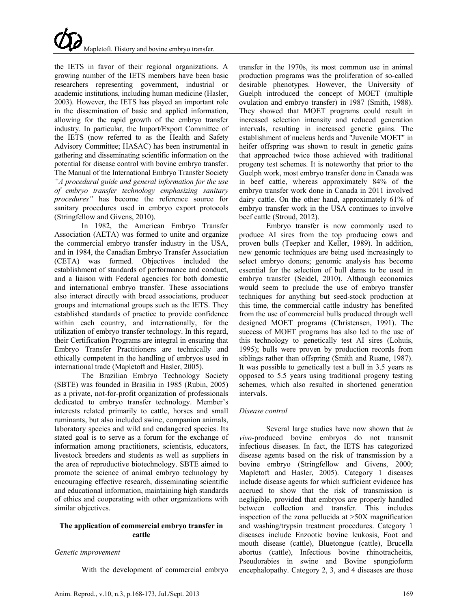the IETS in favor of their regional organizations. A growing number of the IETS members have been basic researchers representing government, industrial or academic institutions, including human medicine (Hasler, 2003). However, the IETS has played an important role in the dissemination of basic and applied information, allowing for the rapid growth of the embryo transfer industry. In particular, the Import/Export Committee of the IETS (now referred to as the Health and Safety Advisory Committee; HASAC) has been instrumental in gathering and disseminating scientific information on the potential for disease control with bovine embryo transfer. The Manual of the International Embryo Transfer Society *"A procedural guide and general information for the use of embryo transfer technology emphasizing sanitary procedures"* has become the reference source for sanitary procedures used in embryo export protocols (Stringfellow and Givens, 2010).

In 1982, the American Embryo Transfer Association (AETA) was formed to unite and organize the commercial embryo transfer industry in the USA, and in 1984, the Canadian Embryo Transfer Association (CETA) was formed. Objectives included the establishment of standards of performance and conduct, and a liaison with Federal agencies for both domestic and international embryo transfer. These associations also interact directly with breed associations, producer groups and international groups such as the IETS. They established standards of practice to provide confidence within each country, and internationally, for the utilization of embryo transfer technology. In this regard, their Certification Programs are integral in ensuring that Embryo Transfer Practitioners are technically and ethically competent in the handling of embryos used in international trade (Mapletoft and Hasler, 2005).

The Brazilian Embryo Technology Society (SBTE) was founded in Brasilia in 1985 (Rubin, 2005) as a private, not-for-profit organization of professionals dedicated to embryo transfer technology. Member's interests related primarily to cattle, horses and small ruminants, but also included swine, companion animals, laboratory species and wild and endangered species. Its stated goal is to serve as a forum for the exchange of information among practitioners, scientists, educators, livestock breeders and students as well as suppliers in the area of reproductive biotechnology. SBTE aimed to promote the science of animal embryo technology by encouraging effective research, disseminating scientific and educational information, maintaining high standards of ethics and cooperating with other organizations with similar objectives.

### **The application of commercial embryo transfer in cattle**

### *Genetic improvement*

With the development of commercial embryo

transfer in the 1970s, its most common use in animal production programs was the proliferation of so-called desirable phenotypes. However, the University of Guelph introduced the concept of MOET (multiple ovulation and embryo transfer) in 1987 (Smith, 1988). They showed that MOET programs could result in increased selection intensity and reduced generation intervals, resulting in increased genetic gains. The establishment of nucleus herds and "Juvenile MOET" in heifer offspring was shown to result in genetic gains that approached twice those achieved with traditional progeny test schemes. It is noteworthy that prior to the Guelph work, most embryo transfer done in Canada was in beef cattle, whereas approximately 84% of the embryo transfer work done in Canada in 2011 involved dairy cattle. On the other hand, approximately 61% of embryo transfer work in the USA continues to involve beef cattle (Stroud, 2012).

Embryo transfer is now commonly used to produce AI sires from the top producing cows and proven bulls (Teepker and Keller, 1989). In addition, new genomic techniques are being used increasingly to select embryo donors; genomic analysis has become essential for the selection of bull dams to be used in embryo transfer (Seidel, 2010). Although economics would seem to preclude the use of embryo transfer techniques for anything but seed-stock production at this time, the commercial cattle industry has benefited from the use of commercial bulls produced through well designed MOET programs (Christensen, 1991). The success of MOET programs has also led to the use of this technology to genetically test AI sires (Lohuis, 1995); bulls were proven by production records from siblings rather than offspring (Smith and Ruane, 1987). It was possible to genetically test a bull in 3.5 years as opposed to 5.5 years using traditional progeny testing schemes, which also resulted in shortened generation intervals.

### *Disease control*

Several large studies have now shown that *in vivo*-produced bovine embryos do not transmit infectious diseases. In fact, the IETS has categorized disease agents based on the risk of transmission by a bovine embryo (Stringfellow and Givens, 2000; Mapletoft and Hasler, 2005). Category 1 diseases include disease agents for which sufficient evidence has accrued to show that the risk of transmission is negligible, provided that embryos are properly handled between collection and transfer. This includes inspection of the zona pellucida at >50X magnification and washing/trypsin treatment procedures. Category 1 diseases include Enzootic bovine leukosis, Foot and mouth disease (cattle), Bluetongue (cattle), Brucella abortus (cattle), Infectious bovine rhinotracheitis, Pseudorabies in swine and Bovine spongioform encephalopathy. Category 2, 3, and 4 diseases are those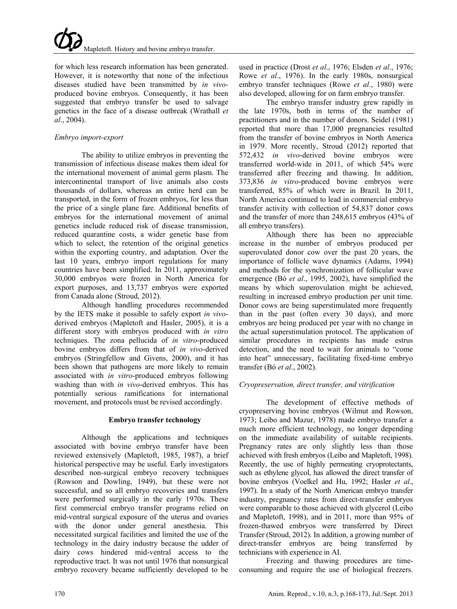for which less research information has been generated. However, it is noteworthy that none of the infectious diseases studied have been transmitted by *in vivo*produced bovine embryos. Consequently, it has been suggested that embryo transfer be used to salvage genetics in the face of a disease outbreak (Wrathall *et al*., 2004).

### *Embryo import-export*

The ability to utilize embryos in preventing the transmission of infectious disease makes them ideal for the international movement of animal germ plasm. The intercontinental transport of live animals also costs thousands of dollars, whereas an entire herd can be transported, in the form of frozen embryos, for less than the price of a single plane fare. Additional benefits of embryos for the international movement of animal genetics include reduced risk of disease transmission, reduced quarantine costs, a wider genetic base from which to select, the retention of the original genetics within the exporting country, and adaptation. Over the last 10 years, embryo import regulations for many countries have been simplified. In 2011, approximately 30,000 embryos were frozen in North America for export purposes, and 13,737 embryos were exported from Canada alone (Stroud, 2012).

Although handling procedures recommended by the IETS make it possible to safely export *in vivo*derived embryos (Mapletoft and Hasler, 2005), it is a different story with embryos produced with *in vitro* techniques. The zona pellucida of *in vitro*-produced bovine embryos differs from that of *in vivo*-derived embryos (Stringfellow and Givens, 2000), and it has been shown that pathogens are more likely to remain associated with *in vitro*-produced embryos following washing than with *in vivo*-derived embryos. This has potentially serious ramifications for international movement, and protocols must be revised accordingly.

### **Embryo transfer technology**

Although the applications and techniques associated with bovine embryo transfer have been reviewed extensively (Mapletoft, 1985, 1987), a brief historical perspective may be useful. Early investigators described non-surgical embryo recovery techniques (Rowson and Dowling, 1949), but these were not successful, and so all embryo recoveries and transfers were performed surgically in the early 1970s. These first commercial embryo transfer programs relied on mid-ventral surgical exposure of the uterus and ovaries with the donor under general anesthesia. This necessitated surgical facilities and limited the use of the technology in the dairy industry because the udder of dairy cows hindered mid-ventral access to the reproductive tract. It was not until 1976 that nonsurgical embryo recovery became sufficiently developed to be

used in practice (Drost *et al*., 1976; Elsden *et al*., 1976; Rowe *et al*., 1976). In the early 1980s, nonsurgical embryo transfer techniques (Rowe *et al*., 1980) were also developed, allowing for on farm embryo transfer.

The embryo transfer industry grew rapidly in the late 1970s, both in terms of the number of practitioners and in the number of donors. Seidel (1981) reported that more than 17,000 pregnancies resulted from the transfer of bovine embryos in North America in 1979. More recently, Stroud (2012) reported that 572,432 *in vivo*-derived bovine embryos were transferred world-wide in 2011, of which 54% were transferred after freezing and thawing. In addition, 373,836 *in vitro*-produced bovine embryos were transferred, 85% of which were in Brazil. In 2011, North America continued to lead in commercial embryo transfer activity with collection of 54,837 donor cows and the transfer of more than 248,615 embryos (43% of all embryo transfers).

Although there has been no appreciable increase in the number of embryos produced per superovulated donor cow over the past 20 years, the importance of follicle wave dynamics (Adams, 1994) and methods for the synchronization of follicular wave emergence (Bó *et al*., 1995, 2002), have simplified the means by which superovulation might be achieved, resulting in increased embryo production per unit time. Donor cows are being superstimulated more frequently than in the past (often every 30 days), and more embryos are being produced per year with no change in the actual superstimulation protocol. The application of similar procedures in recipients has made estrus detection, and the need to wait for animals to "come into heat" unnecessary, facilitating fixed-time embryo transfer (Bó *et al*., 2002).

## *Cryopreservation, direct transfer, and vitrification*

The development of effective methods of cryopreserving bovine embryos (Wilmut and Rowson, 1973; Leibo and Mazur, 1978) made embryo transfer a much more efficient technology, no longer depending on the immediate availability of suitable recipients. Pregnancy rates are only slightly less than those achieved with fresh embryos (Leibo and Mapletoft, 1998). Recently, the use of highly permeating cryoprotectants, such as ethylene glycol, has allowed the direct transfer of bovine embryos (Voelkel and Hu, 1992; Hasler *et al*., 1997). In a study of the North American embryo transfer industry, pregnancy rates from direct-transfer embryos were comparable to those achieved with glycerol (Leibo and Mapletoft, 1998), and in 2011, more than 95% of frozen-thawed embryos were transferred by Direct Transfer (Stroud, 2012). In addition, a growing number of direct-transfer embryos are being transferred by technicians with experience in AI.

Freezing and thawing procedures are timeconsuming and require the use of biological freezers.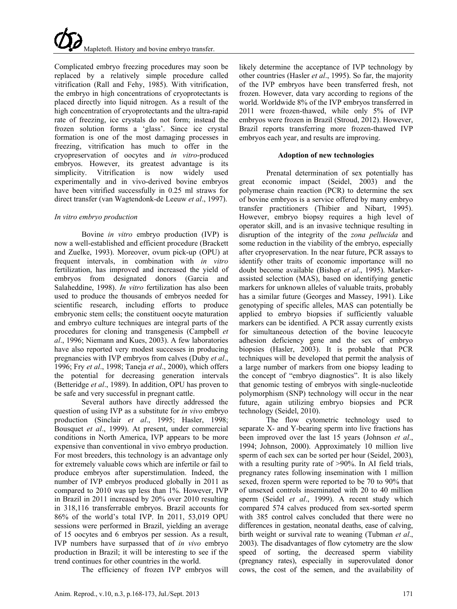

Complicated embryo freezing procedures may soon be replaced by a relatively simple procedure called vitrification (Rall and Fehy, 1985). With vitrification, the embryo in high concentrations of cryoprotectants is placed directly into liquid nitrogen. As a result of the high concentration of cryoprotectants and the ultra-rapid rate of freezing, ice crystals do not form; instead the frozen solution forms a 'glass'. Since ice crystal formation is one of the most damaging processes in freezing, vitrification has much to offer in the cryopreservation of oocytes and *in vitro*-produced embryos. However, its greatest advantage is its simplicity. Vitrification is now widely used experimentally and in vivo-derived bovine embryos have been vitrified successfully in 0.25 ml straws for direct transfer (van Wagtendonk-de Leeuw *et al*., 1997).

#### *In vitro embryo production*

Bovine *in vitro* embryo production (IVP) is now a well-established and efficient procedure (Brackett and Zuelke, 1993). Moreover, ovum pick-up (OPU) at frequent intervals, in combination with *in vitro* fertilization, has improved and increased the yield of embryos from designated donors (Garcia and Salaheddine, 1998). *In vitro* fertilization has also been used to produce the thousands of embryos needed for scientific research, including efforts to produce embryonic stem cells; the constituent oocyte maturation and embryo culture techniques are integral parts of the procedures for cloning and transgenesis (Campbell *et al*., 1996; Niemann and Kues, 2003). A few laboratories have also reported very modest successes in producing pregnancies with IVP embryos from calves (Duby *et al*., 1996; Fry *et al*., 1998; Taneja *et al*., 2000), which offers the potential for decreasing generation intervals (Betteridge *et al*., 1989). In addition, OPU has proven to be safe and very successful in pregnant cattle.

Several authors have directly addressed the question of using IVP as a substitute for *in vivo* embryo production (Sinclair *et al*., 1995; Hasler, 1998; Bousquet *et al*., 1999). At present, under commercial conditions in North America, IVP appears to be more expensive than conventional in vivo embryo production. For most breeders, this technology is an advantage only for extremely valuable cows which are infertile or fail to produce embryos after superstimulation. Indeed, the number of IVP embryos produced globally in 2011 as compared to 2010 was up less than 1%. However, IVP in Brazil in 2011 increased by 20% over 2010 resulting in 318,116 transferrable embryos. Brazil accounts for 86% of the world's total IVP. In 2011, 53,019 OPU sessions were performed in Brazil, yielding an average of 15 oocytes and 6 embryos per session. As a result, IVP numbers have surpassed that of *in vivo* embryo production in Brazil; it will be interesting to see if the trend continues for other countries in the world.

The efficiency of frozen IVP embryos will

likely determine the acceptance of IVP technology by other countries (Hasler *et al*., 1995). So far, the majority of the IVP embryos have been transferred fresh, not frozen. However, data vary according to regions of the world. Worldwide 8% of the IVP embryos transferred in 2011 were frozen-thawed, while only 5% of IVP embryos were frozen in Brazil (Stroud, 2012). However, Brazil reports transferring more frozen-thawed IVP embryos each year, and results are improving.

#### **Adoption of new technologies**

Prenatal determination of sex potentially has great economic impact (Seidel, 2003) and the polymerase chain reaction (PCR) to determine the sex of bovine embryos is a service offered by many embryo transfer practitioners (Thibier and Nibart, 1995). However, embryo biopsy requires a high level of operator skill, and is an invasive technique resulting in disruption of the integrity of the *zona pellucida* and some reduction in the viability of the embryo, especially after cryopreservation. In the near future, PCR assays to identify other traits of economic importance will no doubt become available (Bishop *et al*., 1995). Markerassisted selection (MAS), based on identifying genetic markers for unknown alleles of valuable traits, probably has a similar future (Georges and Massey, 1991). Like genotyping of specific alleles, MAS can potentially be applied to embryo biopsies if sufficiently valuable markers can be identified. A PCR assay currently exists for simultaneous detection of the bovine leucocyte adhesion deficiency gene and the sex of embryo biopsies (Hasler, 2003). It is probable that PCR techniques will be developed that permit the analysis of a large number of markers from one biopsy leading to the concept of "embryo diagnostics". It is also likely that genomic testing of embryos with single-nucleotide polymorphism (SNP) technology will occur in the near future, again utilizing embryo biopsies and PCR technology (Seidel, 2010).

The flow cytometric technology used to separate X- and Y-bearing sperm into live fractions has been improved over the last 15 years (Johnson *et al*., 1994; Johnson, 2000). Approximately 10 million live sperm of each sex can be sorted per hour (Seidel, 2003), with a resulting purity rate of >90%. In AI field trials, pregnancy rates following insemination with 1 million sexed, frozen sperm were reported to be 70 to 90% that of unsexed controls inseminated with 20 to 40 million sperm (Seidel *et al*., 1999). A recent study which compared 574 calves produced from sex-sorted sperm with 385 control calves concluded that there were no differences in gestation, neonatal deaths, ease of calving, birth weight or survival rate to weaning (Tubman *et al*., 2003). The disadvantages of flow cytometry are the slow speed of sorting, the decreased sperm viability (pregnancy rates), especially in superovulated donor cows, the cost of the semen, and the availability of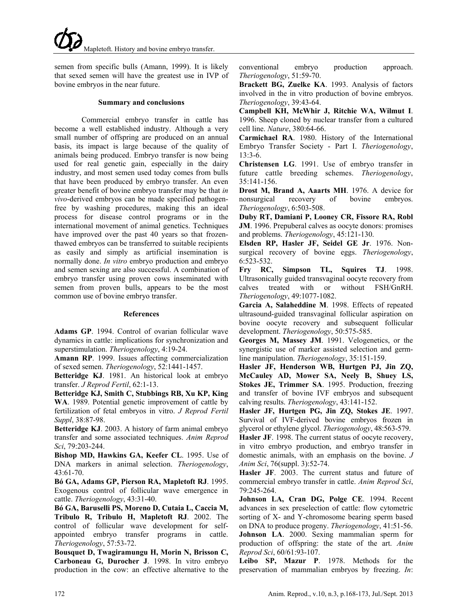semen from specific bulls (Amann, 1999). It is likely that sexed semen will have the greatest use in IVP of bovine embryos in the near future.

#### **Summary and conclusions**

Commercial embryo transfer in cattle has become a well established industry. Although a very small number of offspring are produced on an annual basis, its impact is large because of the quality of animals being produced. Embryo transfer is now being used for real genetic gain, especially in the dairy industry, and most semen used today comes from bulls that have been produced by embryo transfer. An even greater benefit of bovine embryo transfer may be that *in vivo*-derived embryos can be made specified pathogenfree by washing procedures, making this an ideal process for disease control programs or in the international movement of animal genetics. Techniques have improved over the past 40 years so that frozenthawed embryos can be transferred to suitable recipients as easily and simply as artificial insemination is normally done. *In vitro* embryo production and embryo and semen sexing are also successful. A combination of embryo transfer using proven cows inseminated with semen from proven bulls, appears to be the most common use of bovine embryo transfer.

#### **References**

**Adams GP**. 1994. Control of ovarian follicular wave dynamics in cattle: implications for synchronization and superstimulation. *Theriogenology*, 4:19-24.

**Amann RP**. 1999. Issues affecting commercialization of sexed semen. *Theriogenology*, 52:1441-1457.

**Betteridge KJ**. 1981. An historical look at embryo transfer. *J Reprod Fertil*, 62:1-13.

**Betteridge KJ, Smith C, Stubbings RB, Xu KP, King WA**. 1989. Potential genetic improvement of cattle by fertilization of fetal embryos in vitro. *J Reprod Fertil Suppl*, 38:87-98.

**Betteridge KJ**. 2003. A history of farm animal embryo transfer and some associated techniques. *Anim Reprod Sci*, 79:203-244.

**Bishop MD, Hawkins GA, Keefer CL**. 1995. Use of DNA markers in animal selection. *Theriogenology*, 43:61-70.

**Bó GA, Adams GP, Pierson RA, Mapletoft RJ**. 1995. Exogenous control of follicular wave emergence in cattle. *Theriogenology*, 43:31-40.

**Bó GA, Baruselli PS, Moreno D, Cutaia L, Caccia M, Tribulo R, Tribulo H, Mapletoft RJ**. 2002. The control of follicular wave development for selfappointed embryo transfer programs in cattle. *Theriogenology*, 57:53-72.

**Bousquet D, Twagiramungu H, Morin N, Brisson C, Carboneau G, Durocher J**. 1998. In vitro embryo production in the cow: an effective alternative to the conventional embryo production approach. *Theriogenology*, 51:59-70.

**Brackett BG, Zuelke KA**. 1993. Analysis of factors involved in the in vitro production of bovine embryos. *Theriogenology*, 39:43-64.

**Campbell KH, McWhir J, Ritchie WA, Wilmut I**. 1996. Sheep cloned by nuclear transfer from a cultured cell line. *Nature*, 380:64-66.

**Carmichael RA**. 1980. History of the International Embryo Transfer Society - Part I. *Theriogenology*, 13:3-6.

**Christensen LG**. 1991. Use of embryo transfer in future cattle breeding schemes. *Theriogenology*, 35:141-156.

**Drost M, Brand A, Aaarts MH**. 1976. A device for nonsurgical recovery of bovine embryos. *Theriogenology*, 6:503-508.

**Duby RT, Damiani P, Looney CR, Fissore RA, Robl JM**. 1996. Prepuberal calves as oocyte donors: promises and problems. *Theriogenology*, 45:121-130.

**Elsden RP, Hasler JF, Seidel GE Jr**. 1976. Nonsurgical recovery of bovine eggs. *Theriogenology*, 6:523-532.

**Fry RC, Simpson TL, Squires TJ**. 1998. Ultrasonically guided transvaginal oocyte recovery from calves treated with or without FSH/GnRH. *Theriogenology*, 49:1077-1082.

**Garcia A, Salaheddine M**. 1998. Effects of repeated ultrasound-guided transvaginal follicular aspiration on bovine oocyte recovery and subsequent follicular development. *Theriogenology*, 50:575-585.

**Georges M, Massey JM**. 1991. Velogenetics, or the synergistic use of marker assisted selection and germline manipulation. *Theriogenology*, 35:151-159.

**Hasler JF, Henderson WB, Hurtgen PJ, Jin ZQ, McCauley AD, Mower SA, Neely B, Shuey LS, Stokes JE, Trimmer SA**. 1995. Production, freezing and transfer of bovine IVF embryos and subsequent calving results. *Theriogenology*, 43:141-152.

**Hasler JF, Hurtgen PG, Jin ZQ, Stokes JE**. 1997. Survival of IVF-derived bovine embryos frozen in glycerol or ethylene glycol. *Theriogenology*, 48:563-579.

**Hasler JF**. 1998. The current status of oocyte recovery, in vitro embryo production, and embryo transfer in domestic animals, with an emphasis on the bovine. *J Anim Sci*, 76(suppl. 3):52-74.

**Hasler JF**. 2003. The current status and future of commercial embryo transfer in cattle. *Anim Reprod Sci*, 79:245-264.

**Johnson LA, Cran DG, Polge CE**. 1994. Recent advances in sex preselection of cattle: flow cytometric sorting of X- and Y-chromosome bearing sperm based on DNA to produce progeny. *Theriogenology*, 41:51-56. **Johnson LA**. 2000. Sexing mammalian sperm for production of offspring: the state of the art. *Anim Reprod Sci*, 60/61:93-107.

**Leibo SP, Mazur P**. 1978. Methods for the preservation of mammalian embryos by freezing. *In*: